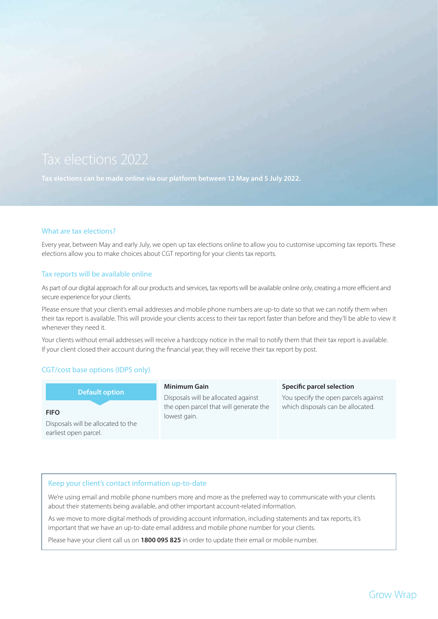**Tax elections can be made online via our platform between 12 May and 5 July 2022.**

# What are tax elections?

Every year, between May and early July, we open up tax elections online to allow you to customise upcoming tax reports. These elections allow you to make choices about CGT reporting for your clients tax reports.

# Tax reports will be available online

As part of our digital approach for all our products and services, tax reports will be available online only, creating a more efficient and secure experience for your clients.

Please ensure that your client's email addresses and mobile phone numbers are up-to date so that we can notify them when their tax report is available. This will provide your clients access to their tax report faster than before and they'll be able to view it whenever they need it.

Your clients without email addresses will receive a hardcopy notice in the mail to notify them that their tax report is available. If your client closed their account during the financial year, they will receive their tax report by post.

# CGT/cost base options (IDPS only)

| <b>Default option</b>              | <b>Minimum Gain</b>                                    | Specific parcel selection            |
|------------------------------------|--------------------------------------------------------|--------------------------------------|
|                                    | Disposals will be allocated against                    | You specify the open parcels against |
| <b>FIFO</b>                        | the open parcel that will generate the<br>lowest gain. | which disposals can be allocated.    |
| Disposals will be allocated to the |                                                        |                                      |
| earliest open parcel.              |                                                        |                                      |

# Keep your client's contact information up-to-date

We're using email and mobile phone numbers more and more as the preferred way to communicate with your clients about their statements being available, and other important account-related information.

As we move to more digital methods of providing account information, including statements and tax reports, it's important that we have an up-to-date email address and mobile phone number for your clients.

Please have your client call us on **1800 095 825** in order to update their email or mobile number.